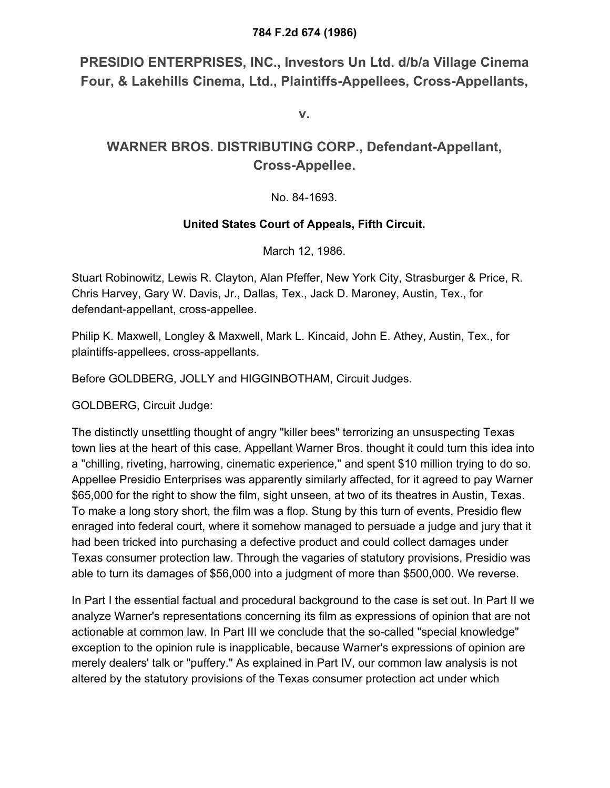### **784 F.2d 674 (1986)**

**PRESIDIO ENTERPRISES, INC., Investors Un Ltd. d/b/a Village Cinema Four, & Lakehills Cinema, Ltd., Plaintiffs-Appellees, Cross-Appellants,**

**v.**

## **WARNER BROS. DISTRIBUTING CORP., Defendant-Appellant, Cross-Appellee.**

### No. 84-1693.

### **United States Court of Appeals, Fifth Circuit.**

March 12, 1986.

Stuart Robinowitz, Lewis R. Clayton, Alan Pfeffer, New York City, Strasburger & Price, R. Chris Harvey, Gary W. Davis, Jr., Dallas, Tex., Jack D. Maroney, Austin, Tex., for defendant-appellant, cross-appellee.

Philip K. Maxwell, Longley & Maxwell, Mark L. Kincaid, John E. Athey, Austin, Tex., for plaintiffs-appellees, cross-appellants.

Before GOLDBERG, JOLLY and HIGGINBOTHAM, Circuit Judges.

GOLDBERG, Circuit Judge:

The distinctly unsettling thought of angry "killer bees" terrorizing an unsuspecting Texas town lies at the heart of this case. Appellant Warner Bros. thought it could turn this idea into a "chilling, riveting, harrowing, cinematic experience," and spent \$10 million trying to do so. Appellee Presidio Enterprises was apparently similarly affected, for it agreed to pay Warner \$65,000 for the right to show the film, sight unseen, at two of its theatres in Austin, Texas. To make a long story short, the film was a flop. Stung by this turn of events, Presidio flew enraged into federal court, where it somehow managed to persuade a judge and jury that it had been tricked into purchasing a defective product and could collect damages under Texas consumer protection law. Through the vagaries of statutory provisions, Presidio was able to turn its damages of \$56,000 into a judgment of more than \$500,000. We reverse.

In Part I the essential factual and procedural background to the case is set out. In Part II we analyze Warner's representations concerning its film as expressions of opinion that are not actionable at common law. In Part III we conclude that the so-called "special knowledge" exception to the opinion rule is inapplicable, because Warner's expressions of opinion are merely dealers' talk or "puffery." As explained in Part IV, our common law analysis is not altered by the statutory provisions of the Texas consumer protection act under which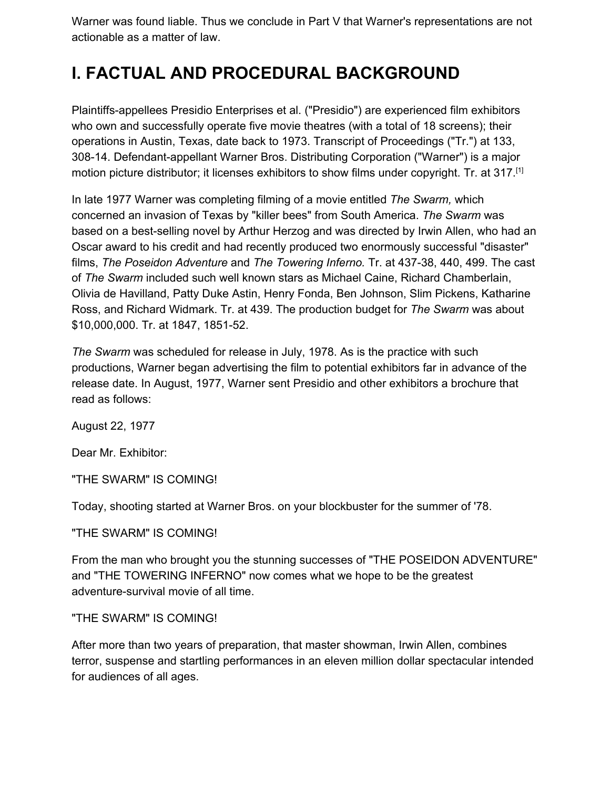Warner was found liable. Thus we conclude in Part V that Warner's representations are not actionable as a matter of law.

# **I. FACTUAL AND PROCEDURAL BACKGROUND**

Plaintiffs-appellees Presidio Enterprises et al. ("Presidio") are experienced film exhibitors who own and successfully operate five movie theatres (with a total of 18 screens); their operations in Austin, Texas, date back to 1973. Transcript of Proceedings ("Tr.") at 133, 308-14. Defendant-appellant Warner Bros. Distributing Corporation ("Warner") is a major motion picture distributor; it licenses exhibitors to show films under copyright. Tr. at 317.[1]

In late 1977 Warner was completing filming of a movie entitled *The Swarm,* which concerned an invasion of Texas by "killer bees" from South America. *The Swarm* was based on a best-selling novel by Arthur Herzog and was directed by Irwin Allen, who had an Oscar award to his credit and had recently produced two enormously successful "disaster" films, *The Poseidon Adventure* and *The Towering Inferno.* Tr. at 437-38, 440, 499. The cast of *The Swarm* included such well known stars as Michael Caine, Richard Chamberlain, Olivia de Havilland, Patty Duke Astin, Henry Fonda, Ben Johnson, Slim Pickens, Katharine Ross, and Richard Widmark. Tr. at 439. The production budget for *The Swarm* was about \$10,000,000. Tr. at 1847, 1851-52.

*The Swarm* was scheduled for release in July, 1978. As is the practice with such productions, Warner began advertising the film to potential exhibitors far in advance of the release date. In August, 1977, Warner sent Presidio and other exhibitors a brochure that read as follows:

August 22, 1977

Dear Mr. Exhibitor:

"THE SWARM" IS COMING!

Today, shooting started at Warner Bros. on your blockbuster for the summer of '78.

"THE SWARM" IS COMING!

From the man who brought you the stunning successes of "THE POSEIDON ADVENTURE" and "THE TOWERING INFERNO" now comes what we hope to be the greatest adventure-survival movie of all time.

### "THE SWARM" IS COMING!

After more than two years of preparation, that master showman, Irwin Allen, combines terror, suspense and startling performances in an eleven million dollar spectacular intended for audiences of all ages.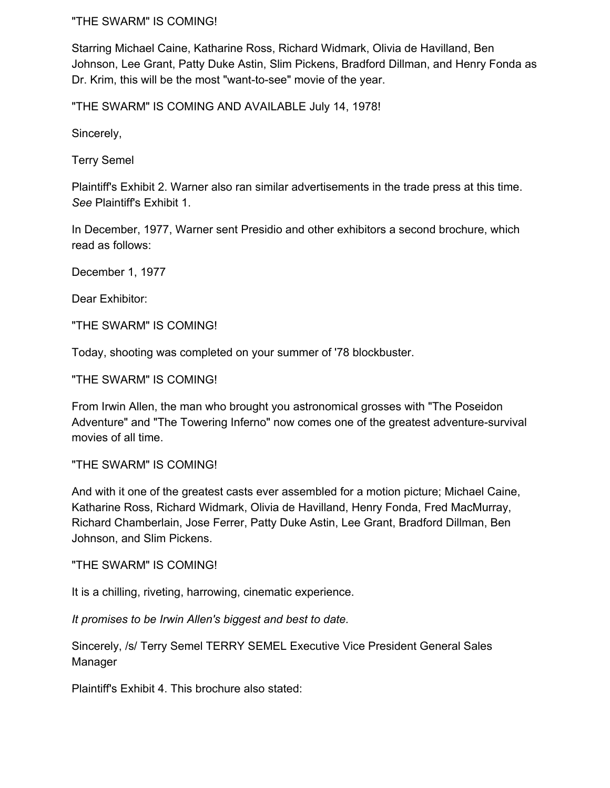#### "THE SWARM" IS COMING!

Starring Michael Caine, Katharine Ross, Richard Widmark, Olivia de Havilland, Ben Johnson, Lee Grant, Patty Duke Astin, Slim Pickens, Bradford Dillman, and Henry Fonda as Dr. Krim, this will be the most "want-to-see" movie of the year.

"THE SWARM" IS COMING AND AVAILABLE July 14, 1978!

Sincerely,

Terry Semel

Plaintiff's Exhibit 2. Warner also ran similar advertisements in the trade press at this time. *See* Plaintiff's Exhibit 1.

In December, 1977, Warner sent Presidio and other exhibitors a second brochure, which read as follows:

December 1, 1977

Dear Exhibitor:

"THE SWARM" IS COMING!

Today, shooting was completed on your summer of '78 blockbuster.

"THE SWARM" IS COMING!

From Irwin Allen, the man who brought you astronomical grosses with "The Poseidon Adventure" and "The Towering Inferno" now comes one of the greatest adventure-survival movies of all time.

#### "THE SWARM" IS COMING!

And with it one of the greatest casts ever assembled for a motion picture; Michael Caine, Katharine Ross, Richard Widmark, Olivia de Havilland, Henry Fonda, Fred MacMurray, Richard Chamberlain, Jose Ferrer, Patty Duke Astin, Lee Grant, Bradford Dillman, Ben Johnson, and Slim Pickens.

"THE SWARM" IS COMING!

It is a chilling, riveting, harrowing, cinematic experience.

*It promises to be Irwin Allen's biggest and best to date.*

Sincerely, /s/ Terry Semel TERRY SEMEL Executive Vice President General Sales Manager

Plaintiff's Exhibit 4. This brochure also stated: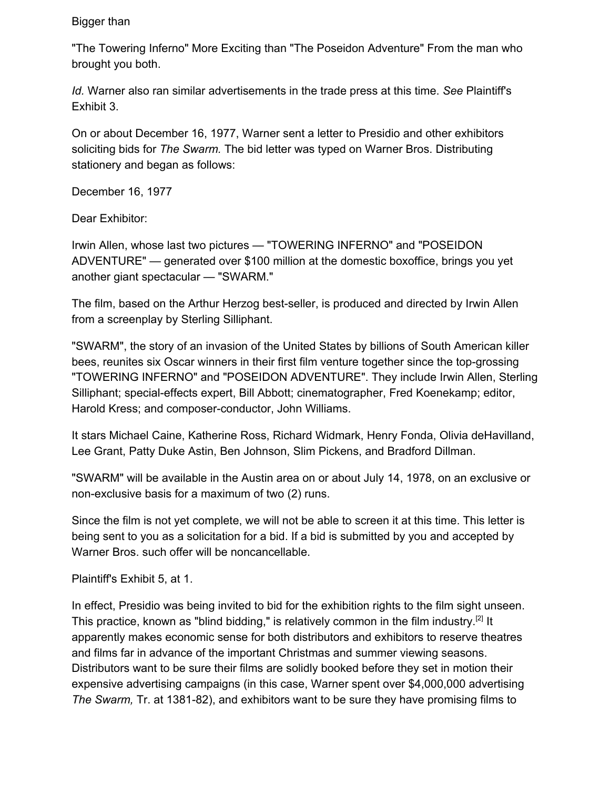Bigger than

"The Towering Inferno" More Exciting than "The Poseidon Adventure" From the man who brought you both.

*Id.* Warner also ran similar advertisements in the trade press at this time. *See* Plaintiff's Exhibit 3.

On or about December 16, 1977, Warner sent a letter to Presidio and other exhibitors soliciting bids for *The Swarm.* The bid letter was typed on Warner Bros. Distributing stationery and began as follows:

December 16, 1977

Dear Exhibitor:

Irwin Allen, whose last two pictures — "TOWERING INFERNO" and "POSEIDON ADVENTURE" — generated over \$100 million at the domestic boxoffice, brings you yet another giant spectacular — "SWARM."

The film, based on the Arthur Herzog best-seller, is produced and directed by Irwin Allen from a screenplay by Sterling Silliphant.

"SWARM", the story of an invasion of the United States by billions of South American killer bees, reunites six Oscar winners in their first film venture together since the top-grossing "TOWERING INFERNO" and "POSEIDON ADVENTURE". They include Irwin Allen, Sterling Silliphant; special-effects expert, Bill Abbott; cinematographer, Fred Koenekamp; editor, Harold Kress; and composer-conductor, John Williams.

It stars Michael Caine, Katherine Ross, Richard Widmark, Henry Fonda, Olivia deHavilland, Lee Grant, Patty Duke Astin, Ben Johnson, Slim Pickens, and Bradford Dillman.

"SWARM" will be available in the Austin area on or about July 14, 1978, on an exclusive or non-exclusive basis for a maximum of two (2) runs.

Since the film is not yet complete, we will not be able to screen it at this time. This letter is being sent to you as a solicitation for a bid. If a bid is submitted by you and accepted by Warner Bros. such offer will be noncancellable.

Plaintiff's Exhibit 5, at 1.

In effect, Presidio was being invited to bid for the exhibition rights to the film sight unseen. This practice, known as "blind bidding," is relatively common in the film industry.[2] It apparently makes economic sense for both distributors and exhibitors to reserve theatres and films far in advance of the important Christmas and summer viewing seasons. Distributors want to be sure their films are solidly booked before they set in motion their expensive advertising campaigns (in this case, Warner spent over \$4,000,000 advertising *The Swarm,* Tr. at 1381-82), and exhibitors want to be sure they have promising films to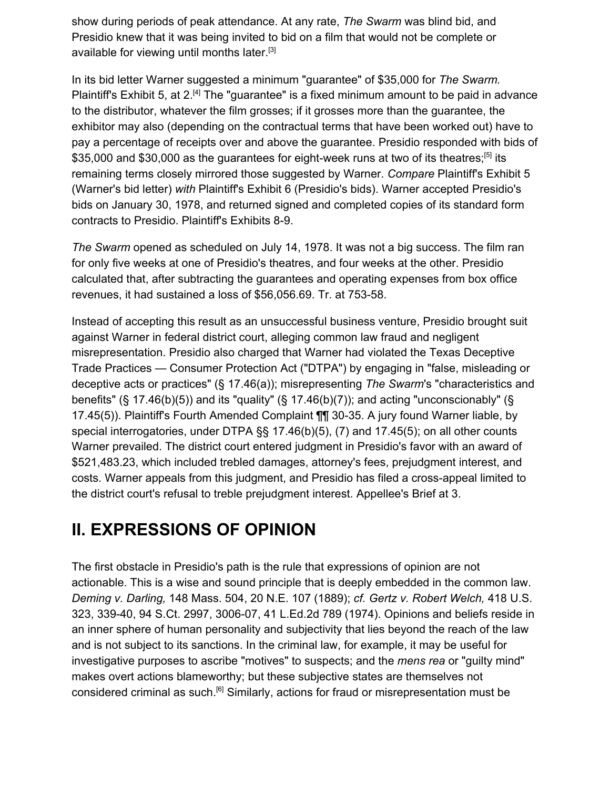show during periods of peak attendance. At any rate, *The Swarm* was blind bid, and Presidio knew that it was being invited to bid on a film that would not be complete or available for viewing until months later.<sup>[3]</sup>

In its bid letter Warner suggested a minimum "guarantee" of \$35,000 for *The Swarm.* Plaintiff's Exhibit 5, at  $2^{[4]}$  The "guarantee" is a fixed minimum amount to be paid in advance to the distributor, whatever the film grosses; if it grosses more than the guarantee, the exhibitor may also (depending on the contractual terms that have been worked out) have to pay a percentage of receipts over and above the guarantee. Presidio responded with bids of \$35,000 and \$30,000 as the guarantees for eight-week runs at two of its theatres;<sup>[5]</sup> its remaining terms closely mirrored those suggested by Warner. *Compare* Plaintiff's Exhibit 5 (Warner's bid letter) *with* Plaintiff's Exhibit 6 (Presidio's bids). Warner accepted Presidio's bids on January 30, 1978, and returned signed and completed copies of its standard form contracts to Presidio. Plaintiff's Exhibits 8-9.

*The Swarm* opened as scheduled on July 14, 1978. It was not a big success. The film ran for only five weeks at one of Presidio's theatres, and four weeks at the other. Presidio calculated that, after subtracting the guarantees and operating expenses from box office revenues, it had sustained a loss of \$56,056.69. Tr. at 753-58.

Instead of accepting this result as an unsuccessful business venture, Presidio brought suit against Warner in federal district court, alleging common law fraud and negligent misrepresentation. Presidio also charged that Warner had violated the Texas Deceptive Trade Practices — Consumer Protection Act ("DTPA") by engaging in "false, misleading or deceptive acts or practices" (§ 17.46(a)); misrepresenting *The Swarm*'s "characteristics and benefits" (§ 17.46(b)(5)) and its "quality" (§ 17.46(b)(7)); and acting "unconscionably" (§ 17.45(5)). Plaintiff's Fourth Amended Complaint ¶¶ 30-35. A jury found Warner liable, by special interrogatories, under DTPA §§ 17.46(b)(5), (7) and 17.45(5); on all other counts Warner prevailed. The district court entered judgment in Presidio's favor with an award of \$521,483.23, which included trebled damages, attorney's fees, prejudgment interest, and costs. Warner appeals from this judgment, and Presidio has filed a cross-appeal limited to the district court's refusal to treble prejudgment interest. Appellee's Brief at 3.

# **II. EXPRESSIONS OF OPINION**

The first obstacle in Presidio's path is the rule that expressions of opinion are not actionable. This is a wise and sound principle that is deeply embedded in the common law. *Deming v. Darling,* 148 Mass. 504, 20 N.E. 107 (1889); *cf. Gertz v. Robert Welch,* 418 U.S. 323, 339-40, 94 S.Ct. 2997, 3006-07, 41 L.Ed.2d 789 (1974). Opinions and beliefs reside in an inner sphere of human personality and subjectivity that lies beyond the reach of the law and is not subject to its sanctions. In the criminal law, for example, it may be useful for investigative purposes to ascribe "motives" to suspects; and the *mens rea* or "guilty mind" makes overt actions blameworthy; but these subjective states are themselves not considered criminal as such.[6] Similarly, actions for fraud or misrepresentation must be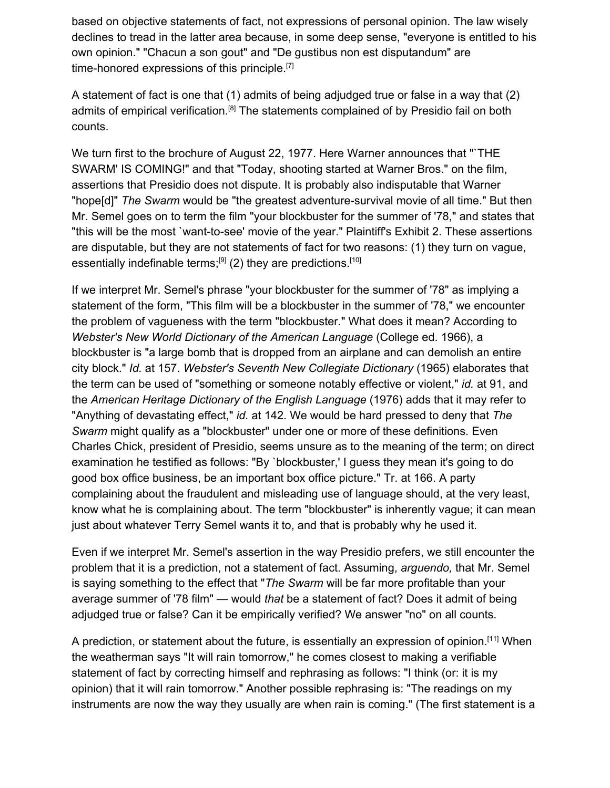based on objective statements of fact, not expressions of personal opinion. The law wisely declines to tread in the latter area because, in some deep sense, "everyone is entitled to his own opinion." "Chacun a son gout" and "De gustibus non est disputandum" are time-honored expressions of this principle.<sup>[7]</sup>

A statement of fact is one that (1) admits of being adjudged true or false in a way that (2) admits of empirical verification.<sup>[8]</sup> The statements complained of by Presidio fail on both counts.

We turn first to the brochure of August 22, 1977. Here Warner announces that "THE SWARM' IS COMING!" and that "Today, shooting started at Warner Bros." on the film, assertions that Presidio does not dispute. It is probably also indisputable that Warner "hope[d]" *The Swarm* would be "the greatest adventure-survival movie of all time." But then Mr. Semel goes on to term the film "your blockbuster for the summer of '78," and states that "this will be the most `want-to-see' movie of the year." Plaintiff's Exhibit 2. These assertions are disputable, but they are not statements of fact for two reasons: (1) they turn on vague, essentially indefinable terms;<sup>[9]</sup> (2) they are predictions.<sup>[10]</sup>

If we interpret Mr. Semel's phrase "your blockbuster for the summer of '78" as implying a statement of the form, "This film will be a blockbuster in the summer of '78," we encounter the problem of vagueness with the term "blockbuster." What does it mean? According to *Webster's New World Dictionary of the American Language* (College ed. 1966), a blockbuster is "a large bomb that is dropped from an airplane and can demolish an entire city block." *Id.* at 157. *Webster's Seventh New Collegiate Dictionary* (1965) elaborates that the term can be used of "something or someone notably effective or violent," *id.* at 91, and the *American Heritage Dictionary of the English Language* (1976) adds that it may refer to "Anything of devastating effect," *id.* at 142. We would be hard pressed to deny that *The Swarm* might qualify as a "blockbuster" under one or more of these definitions. Even Charles Chick, president of Presidio, seems unsure as to the meaning of the term; on direct examination he testified as follows: "By `blockbuster,' I guess they mean it's going to do good box office business, be an important box office picture." Tr. at 166. A party complaining about the fraudulent and misleading use of language should, at the very least, know what he is complaining about. The term "blockbuster" is inherently vague; it can mean just about whatever Terry Semel wants it to, and that is probably why he used it.

Even if we interpret Mr. Semel's assertion in the way Presidio prefers, we still encounter the problem that it is a prediction, not a statement of fact. Assuming, *arguendo,* that Mr. Semel is saying something to the effect that "*The Swarm* will be far more profitable than your average summer of '78 film" — would *that* be a statement of fact? Does it admit of being adjudged true or false? Can it be empirically verified? We answer "no" on all counts.

A prediction, or statement about the future, is essentially an expression of opinion.[11] When the weatherman says "It will rain tomorrow," he comes closest to making a verifiable statement of fact by correcting himself and rephrasing as follows: "I think (or: it is my opinion) that it will rain tomorrow." Another possible rephrasing is: "The readings on my instruments are now the way they usually are when rain is coming." (The first statement is a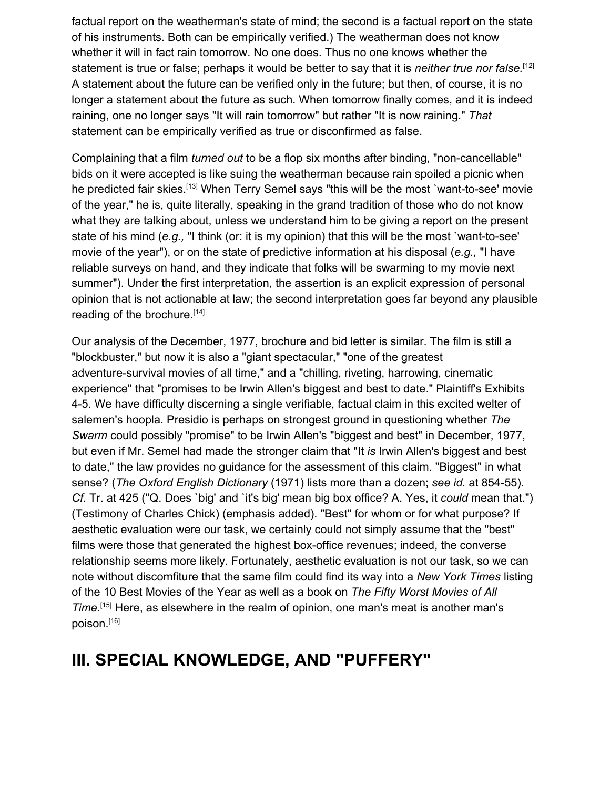factual report on the weatherman's state of mind; the second is a factual report on the state of his instruments. Both can be empirically verified.) The weatherman does not know whether it will in fact rain tomorrow. No one does. Thus no one knows whether the statement is true or false; perhaps it would be better to say that it is *neither true nor false.*[12] A statement about the future can be verified only in the future; but then, of course, it is no longer a statement about the future as such. When tomorrow finally comes, and it is indeed raining, one no longer says "It will rain tomorrow" but rather "It is now raining." *That* statement can be empirically verified as true or disconfirmed as false.

Complaining that a film *turned out* to be a flop six months after binding, "non-cancellable" bids on it were accepted is like suing the weatherman because rain spoiled a picnic when he predicted fair skies.<sup>[13]</sup> When Terry Semel says "this will be the most `want-to-see' movie of the year," he is, quite literally, speaking in the grand tradition of those who do not know what they are talking about, unless we understand him to be giving a report on the present state of his mind (*e.g.,* "I think (or: it is my opinion) that this will be the most `want-to-see' movie of the year"), or on the state of predictive information at his disposal (*e.g.,* "I have reliable surveys on hand, and they indicate that folks will be swarming to my movie next summer"). Under the first interpretation, the assertion is an explicit expression of personal opinion that is not actionable at law; the second interpretation goes far beyond any plausible reading of the brochure.<sup>[14]</sup>

Our analysis of the December, 1977, brochure and bid letter is similar. The film is still a "blockbuster," but now it is also a "giant spectacular," "one of the greatest adventure-survival movies of all time," and a "chilling, riveting, harrowing, cinematic experience" that "promises to be Irwin Allen's biggest and best to date." Plaintiff's Exhibits 4-5. We have difficulty discerning a single verifiable, factual claim in this excited welter of salemen's hoopla. Presidio is perhaps on strongest ground in questioning whether *The Swarm* could possibly "promise" to be Irwin Allen's "biggest and best" in December, 1977, but even if Mr. Semel had made the stronger claim that "It *is* Irwin Allen's biggest and best to date," the law provides no guidance for the assessment of this claim. "Biggest" in what sense? (*The Oxford English Dictionary* (1971) lists more than a dozen; *see id.* at 854-55). *Cf.* Tr. at 425 ("Q. Does `big' and `it's big' mean big box office? A. Yes, it *could* mean that.") (Testimony of Charles Chick) (emphasis added). "Best" for whom or for what purpose? If aesthetic evaluation were our task, we certainly could not simply assume that the "best" films were those that generated the highest box-office revenues; indeed, the converse relationship seems more likely. Fortunately, aesthetic evaluation is not our task, so we can note without discomfiture that the same film could find its way into a *New York Times* listing of the 10 Best Movies of the Year as well as a book on *The Fifty Worst Movies of All Time.*[15] Here, as elsewhere in the realm of opinion, one man's meat is another man's poison.[16]

# **III. SPECIAL KNOWLEDGE, AND "PUFFERY"**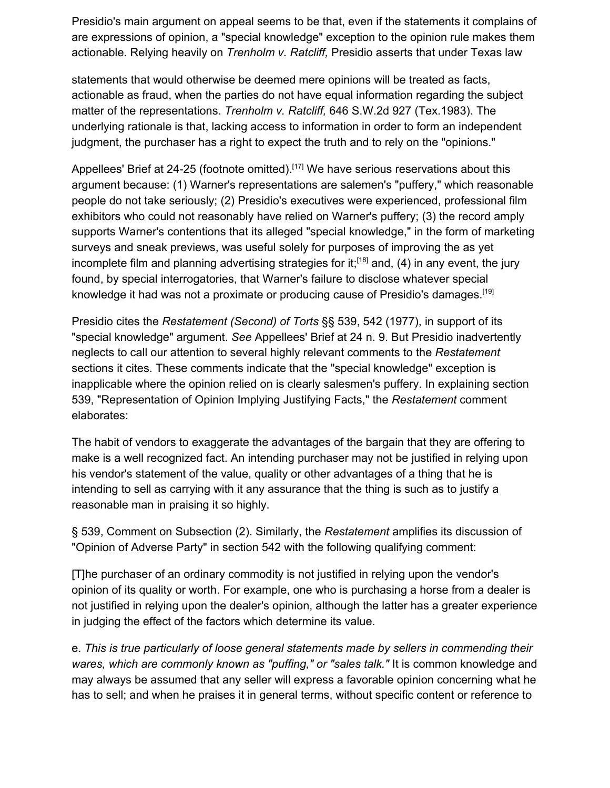Presidio's main argument on appeal seems to be that, even if the statements it complains of are expressions of opinion, a "special knowledge" exception to the opinion rule makes them actionable. Relying heavily on *Trenholm v. Ratcliff,* Presidio asserts that under Texas law

statements that would otherwise be deemed mere opinions will be treated as facts, actionable as fraud, when the parties do not have equal information regarding the subject matter of the representations. *Trenholm v. Ratcliff,* 646 S.W.2d 927 (Tex.1983). The underlying rationale is that, lacking access to information in order to form an independent judgment, the purchaser has a right to expect the truth and to rely on the "opinions."

Appellees' Brief at 24-25 (footnote omitted).<sup>[17]</sup> We have serious reservations about this argument because: (1) Warner's representations are salemen's "puffery," which reasonable people do not take seriously; (2) Presidio's executives were experienced, professional film exhibitors who could not reasonably have relied on Warner's puffery; (3) the record amply supports Warner's contentions that its alleged "special knowledge," in the form of marketing surveys and sneak previews, was useful solely for purposes of improving the as yet incomplete film and planning advertising strategies for it;<sup>[18]</sup> and, (4) in any event, the jury found, by special interrogatories, that Warner's failure to disclose whatever special knowledge it had was not a proximate or producing cause of Presidio's damages.<sup>[19]</sup>

Presidio cites the *Restatement (Second) of Torts* §§ 539, 542 (1977), in support of its "special knowledge" argument. *See* Appellees' Brief at 24 n. 9. But Presidio inadvertently neglects to call our attention to several highly relevant comments to the *Restatement* sections it cites. These comments indicate that the "special knowledge" exception is inapplicable where the opinion relied on is clearly salesmen's puffery. In explaining section 539, "Representation of Opinion Implying Justifying Facts," the *Restatement* comment elaborates:

The habit of vendors to exaggerate the advantages of the bargain that they are offering to make is a well recognized fact. An intending purchaser may not be justified in relying upon his vendor's statement of the value, quality or other advantages of a thing that he is intending to sell as carrying with it any assurance that the thing is such as to justify a reasonable man in praising it so highly.

§ 539, Comment on Subsection (2). Similarly, the *Restatement* amplifies its discussion of "Opinion of Adverse Party" in section 542 with the following qualifying comment:

[T]he purchaser of an ordinary commodity is not justified in relying upon the vendor's opinion of its quality or worth. For example, one who is purchasing a horse from a dealer is not justified in relying upon the dealer's opinion, although the latter has a greater experience in judging the effect of the factors which determine its value.

e. *This is true particularly of loose general statements made by sellers in commending their wares, which are commonly known as "puffing," or "sales talk."* It is common knowledge and may always be assumed that any seller will express a favorable opinion concerning what he has to sell; and when he praises it in general terms, without specific content or reference to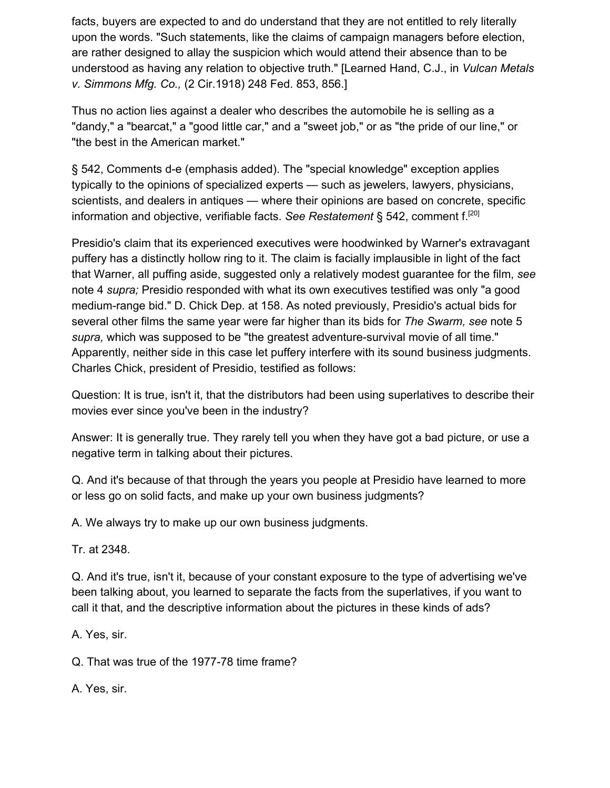facts, buyers are expected to and do understand that they are not entitled to rely literally upon the words. "Such statements, like the claims of campaign managers before election, are rather designed to allay the suspicion which would attend their absence than to be understood as having any relation to objective truth." [Learned Hand, C.J., in *Vulcan Metals v. Simmons Mfg. Co.,* (2 Cir.1918) 248 Fed. 853, 856.]

Thus no action lies against a dealer who describes the automobile he is selling as a "dandy," a "bearcat," a "good little car," and a "sweet job," or as "the pride of our line," or "the best in the American market."

§ 542, Comments d-e (emphasis added). The "special knowledge" exception applies typically to the opinions of specialized experts — such as jewelers, lawyers, physicians, scientists, and dealers in antiques — where their opinions are based on concrete, specific information and objective, verifiable facts. *See Restatement* § 542, comment f.<sup>[20]</sup>

Presidio's claim that its experienced executives were hoodwinked by Warner's extravagant puffery has a distinctly hollow ring to it. The claim is facially implausible in light of the fact that Warner, all puffing aside, suggested only a relatively modest guarantee for the film, *see* note 4 *supra;* Presidio responded with what its own executives testified was only "a good medium-range bid." D. Chick Dep. at 158. As noted previously, Presidio's actual bids for several other films the same year were far higher than its bids for *The Swarm, see* note 5 *supra,* which was supposed to be "the greatest adventure-survival movie of all time." Apparently, neither side in this case let puffery interfere with its sound business judgments. Charles Chick, president of Presidio, testified as follows:

Question: It is true, isn't it, that the distributors had been using superlatives to describe their movies ever since you've been in the industry?

Answer: It is generally true. They rarely tell you when they have got a bad picture, or use a negative term in talking about their pictures.

Q. And it's because of that through the years you people at Presidio have learned to more or less go on solid facts, and make up your own business judgments?

A. We always try to make up our own business judgments.

Tr. at 2348.

Q. And it's true, isn't it, because of your constant exposure to the type of advertising we've been talking about, you learned to separate the facts from the superlatives, if you want to call it that, and the descriptive information about the pictures in these kinds of ads?

A. Yes, sir.

Q. That was true of the 1977-78 time frame?

A. Yes, sir.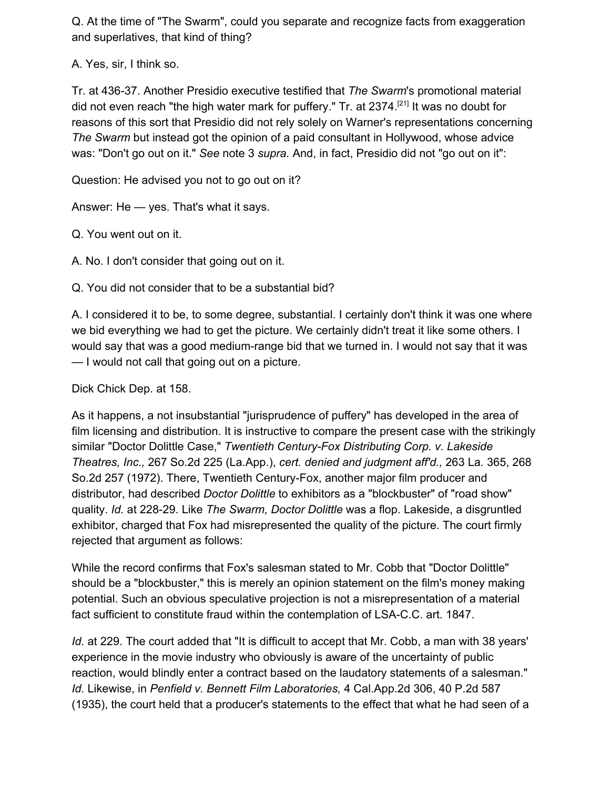Q. At the time of "The Swarm", could you separate and recognize facts from exaggeration and superlatives, that kind of thing?

A. Yes, sir, I think so.

Tr. at 436-37. Another Presidio executive testified that *The Swarm*'s promotional material did not even reach "the high water mark for puffery." Tr. at 2374.[21] It was no doubt for reasons of this sort that Presidio did not rely solely on Warner's representations concerning *The Swarm* but instead got the opinion of a paid consultant in Hollywood, whose advice was: "Don't go out on it." *See* note 3 *supra.* And, in fact, Presidio did not "go out on it":

Question: He advised you not to go out on it?

Answer: He — yes. That's what it says.

Q. You went out on it.

A. No. I don't consider that going out on it.

Q. You did not consider that to be a substantial bid?

A. I considered it to be, to some degree, substantial. I certainly don't think it was one where we bid everything we had to get the picture. We certainly didn't treat it like some others. I would say that was a good medium-range bid that we turned in. I would not say that it was — I would not call that going out on a picture.

Dick Chick Dep. at 158.

As it happens, a not insubstantial "jurisprudence of puffery" has developed in the area of film licensing and distribution. It is instructive to compare the present case with the strikingly similar "Doctor Dolittle Case," *Twentieth Century-Fox Distributing Corp. v. Lakeside Theatres, Inc.,* 267 So.2d 225 (La.App.), *cert. denied and judgment aff'd.,* 263 La. 365, 268 So.2d 257 (1972). There, Twentieth Century-Fox, another major film producer and distributor, had described *Doctor Dolittle* to exhibitors as a "blockbuster" of "road show" quality. *Id.* at 228-29. Like *The Swarm, Doctor Dolittle* was a flop. Lakeside, a disgruntled exhibitor, charged that Fox had misrepresented the quality of the picture. The court firmly rejected that argument as follows:

While the record confirms that Fox's salesman stated to Mr. Cobb that "Doctor Dolittle" should be a "blockbuster," this is merely an opinion statement on the film's money making potential. Such an obvious speculative projection is not a misrepresentation of a material fact sufficient to constitute fraud within the contemplation of LSA-C.C. art. 1847.

*Id.* at 229. The court added that "It is difficult to accept that Mr. Cobb, a man with 38 years' experience in the movie industry who obviously is aware of the uncertainty of public reaction, would blindly enter a contract based on the laudatory statements of a salesman." *Id.* Likewise, in *Penfield v. Bennett Film Laboratories,* 4 Cal.App.2d 306, 40 P.2d 587 (1935), the court held that a producer's statements to the effect that what he had seen of a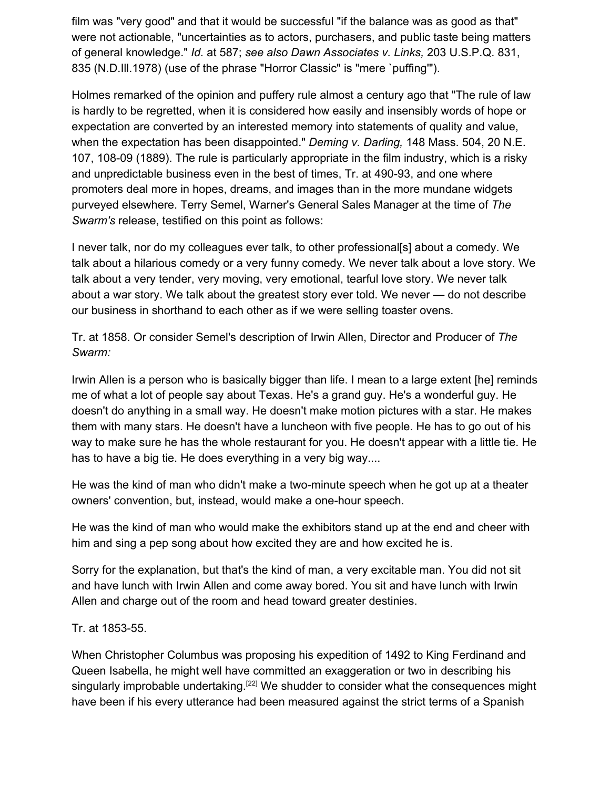film was "very good" and that it would be successful "if the balance was as good as that" were not actionable, "uncertainties as to actors, purchasers, and public taste being matters of general knowledge." *Id.* at 587; *see also Dawn Associates v. Links,* 203 U.S.P.Q. 831, 835 (N.D.Ill.1978) (use of the phrase "Horror Classic" is "mere `puffing'").

Holmes remarked of the opinion and puffery rule almost a century ago that "The rule of law is hardly to be regretted, when it is considered how easily and insensibly words of hope or expectation are converted by an interested memory into statements of quality and value, when the expectation has been disappointed." *Deming v. Darling,* 148 Mass. 504, 20 N.E. 107, 108-09 (1889). The rule is particularly appropriate in the film industry, which is a risky and unpredictable business even in the best of times, Tr. at 490-93, and one where promoters deal more in hopes, dreams, and images than in the more mundane widgets purveyed elsewhere. Terry Semel, Warner's General Sales Manager at the time of *The Swarm's* release, testified on this point as follows:

I never talk, nor do my colleagues ever talk, to other professional[s] about a comedy. We talk about a hilarious comedy or a very funny comedy. We never talk about a love story. We talk about a very tender, very moving, very emotional, tearful love story. We never talk about a war story. We talk about the greatest story ever told. We never — do not describe our business in shorthand to each other as if we were selling toaster ovens.

Tr. at 1858. Or consider Semel's description of Irwin Allen, Director and Producer of *The Swarm:*

Irwin Allen is a person who is basically bigger than life. I mean to a large extent [he] reminds me of what a lot of people say about Texas. He's a grand guy. He's a wonderful guy. He doesn't do anything in a small way. He doesn't make motion pictures with a star. He makes them with many stars. He doesn't have a luncheon with five people. He has to go out of his way to make sure he has the whole restaurant for you. He doesn't appear with a little tie. He has to have a big tie. He does everything in a very big way....

He was the kind of man who didn't make a two-minute speech when he got up at a theater owners' convention, but, instead, would make a one-hour speech.

He was the kind of man who would make the exhibitors stand up at the end and cheer with him and sing a pep song about how excited they are and how excited he is.

Sorry for the explanation, but that's the kind of man, a very excitable man. You did not sit and have lunch with Irwin Allen and come away bored. You sit and have lunch with Irwin Allen and charge out of the room and head toward greater destinies.

Tr. at 1853-55.

When Christopher Columbus was proposing his expedition of 1492 to King Ferdinand and Queen Isabella, he might well have committed an exaggeration or two in describing his singularly improbable undertaking.<sup>[22]</sup> We shudder to consider what the consequences might have been if his every utterance had been measured against the strict terms of a Spanish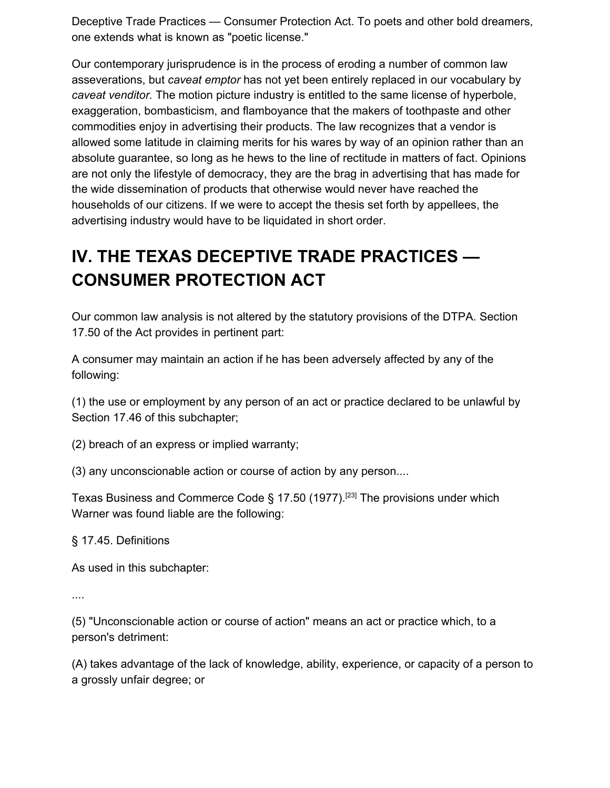Deceptive Trade Practices — Consumer Protection Act. To poets and other bold dreamers, one extends what is known as "poetic license."

Our contemporary jurisprudence is in the process of eroding a number of common law asseverations, but *caveat emptor* has not yet been entirely replaced in our vocabulary by *caveat venditor.* The motion picture industry is entitled to the same license of hyperbole, exaggeration, bombasticism, and flamboyance that the makers of toothpaste and other commodities enjoy in advertising their products. The law recognizes that a vendor is allowed some latitude in claiming merits for his wares by way of an opinion rather than an absolute guarantee, so long as he hews to the line of rectitude in matters of fact. Opinions are not only the lifestyle of democracy, they are the brag in advertising that has made for the wide dissemination of products that otherwise would never have reached the households of our citizens. If we were to accept the thesis set forth by appellees, the advertising industry would have to be liquidated in short order.

# **IV. THE TEXAS DECEPTIVE TRADE PRACTICES — CONSUMER PROTECTION ACT**

Our common law analysis is not altered by the statutory provisions of the DTPA. Section 17.50 of the Act provides in pertinent part:

A consumer may maintain an action if he has been adversely affected by any of the following:

(1) the use or employment by any person of an act or practice declared to be unlawful by Section 17.46 of this subchapter;

(2) breach of an express or implied warranty;

(3) any unconscionable action or course of action by any person....

Texas Business and Commerce Code § 17.50 (1977).[23] The provisions under which Warner was found liable are the following:

§ 17.45. Definitions

As used in this subchapter:

....

(5) "Unconscionable action or course of action" means an act or practice which, to a person's detriment:

(A) takes advantage of the lack of knowledge, ability, experience, or capacity of a person to a grossly unfair degree; or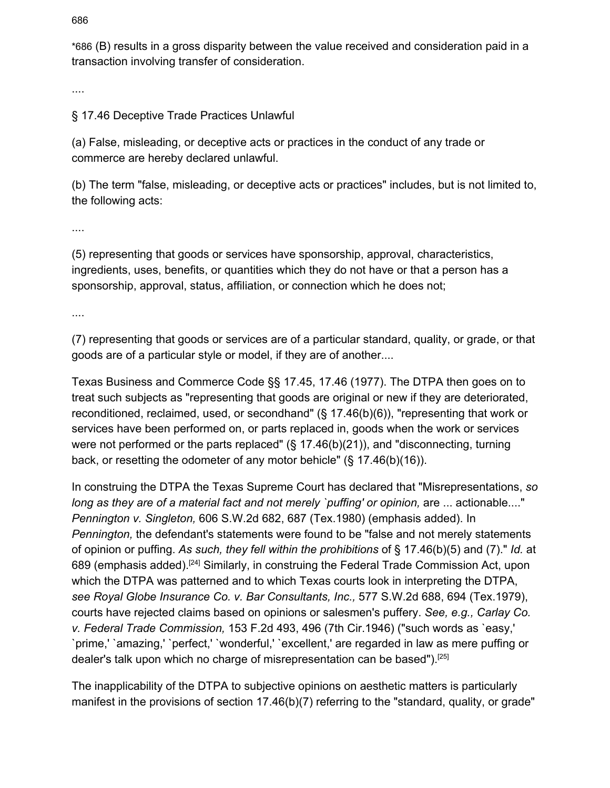68[6](https://scholar.google.com/scholar_case?case=1352173068757821249&q=Poseidon+Adventure&hl=en&as_sdt=6,33#p686)

\*686 (B) results in a gross disparity between the value received and consideration paid in a transaction involving transfer of consideration.

....

§ 17.46 Deceptive Trade Practices Unlawful

(a) False, misleading, or deceptive acts or practices in the conduct of any trade or commerce are hereby declared unlawful.

(b) The term "false, misleading, or deceptive acts or practices" includes, but is not limited to, the following acts:

....

(5) representing that goods or services have sponsorship, approval, characteristics, ingredients, uses, benefits, or quantities which they do not have or that a person has a sponsorship, approval, status, affiliation, or connection which he does not;

....

(7) representing that goods or services are of a particular standard, quality, or grade, or that goods are of a particular style or model, if they are of another....

Texas Business and Commerce Code §§ 17.45, 17.46 (1977). The DTPA then goes on to treat such subjects as "representing that goods are original or new if they are deteriorated, reconditioned, reclaimed, used, or secondhand" (§ 17.46(b)(6)), "representing that work or services have been performed on, or parts replaced in, goods when the work or services were not performed or the parts replaced" (§ 17.46(b)(21)), and "disconnecting, turning back, or resetting the odometer of any motor behicle" (§ 17.46(b)(16)).

In construing the DTPA the Texas Supreme Court has declared that "Misrepresentations, *so long as they are of a material fact and not merely `puffing' or opinion,* are ... actionable...." *Pennington v. Singleton,* 606 S.W.2d 682, 687 (Tex.1980) (emphasis added). In *Pennington,* the defendant's statements were found to be "false and not merely statements of opinion or puffing. *As such, they fell within the prohibitions* of § 17.46(b)(5) and (7)." *Id.* at 689 (emphasis added).[24] Similarly, in construing the Federal Trade Commission Act, upon which the DTPA was patterned and to which Texas courts look in interpreting the DTPA, *see Royal Globe Insurance Co. v. Bar Consultants, Inc.,* 577 S.W.2d 688, 694 (Tex.1979), courts have rejected claims based on opinions or salesmen's puffery. *See, e.g., Carlay Co. v. Federal Trade Commission,* 153 F.2d 493, 496 (7th Cir.1946) ("such words as `easy,' `prime,' `amazing,' `perfect,' `wonderful,' `excellent,' are regarded in law as mere puffing or dealer's talk upon which no charge of misrepresentation can be based").<sup>[25]</sup>

The inapplicability of the DTPA to subjective opinions on aesthetic matters is particularly manifest in the provisions of section 17.46(b)(7) referring to the "standard, quality, or grade"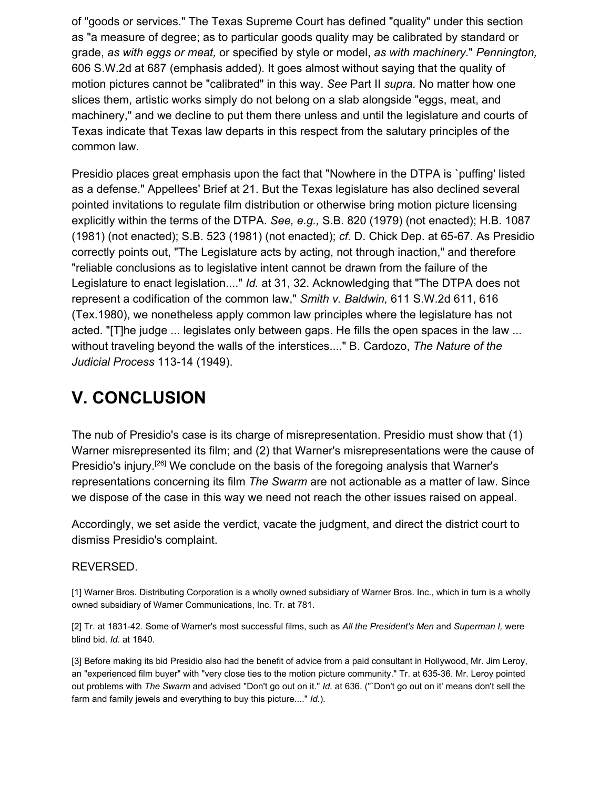of "goods or services." The Texas Supreme Court has defined "quality" under this section as "a measure of degree; as to particular goods quality may be calibrated by standard or grade, *as with eggs or meat,* or specified by style or model, *as with machinery.*" *Pennington,* 606 S.W.2d at 687 (emphasis added). It goes almost without saying that the quality of motion pictures cannot be "calibrated" in this way. *See* Part II *supra.* No matter how one slices them, artistic works simply do not belong on a slab alongside "eggs, meat, and machinery," and we decline to put them there unless and until the legislature and courts of Texas indicate that Texas law departs in this respect from the salutary principles of the common law.

Presidio places great emphasis upon the fact that "Nowhere in the DTPA is `puffing' listed as a defense." Appellees' Brief at 21. But the Texas legislature has also declined several pointed invitations to regulate film distribution or otherwise bring motion picture licensing explicitly within the terms of the DTPA. *See, e.g.,* S.B. 820 (1979) (not enacted); H.B. 1087 (1981) (not enacted); S.B. 523 (1981) (not enacted); *cf.* D. Chick Dep. at 65-67. As Presidio correctly points out, "The Legislature acts by acting, not through inaction," and therefore "reliable conclusions as to legislative intent cannot be drawn from the failure of the Legislature to enact legislation...." *Id.* at 31, 32. Acknowledging that "The DTPA does not represent a codification of the common law," *Smith v. Baldwin,* 611 S.W.2d 611, 616 (Tex.1980), we nonetheless apply common law principles where the legislature has not acted. "[T]he judge ... legislates only between gaps. He fills the open spaces in the law ... without traveling beyond the walls of the interstices...." B. Cardozo, *The Nature of the Judicial Process* 113-14 (1949).

# **V. CONCLUSION**

The nub of Presidio's case is its charge of misrepresentation. Presidio must show that (1) Warner misrepresented its film; and (2) that Warner's misrepresentations were the cause of Presidio's injury.<sup>[26]</sup> We conclude on the basis of the foregoing analysis that Warner's representations concerning its film *The Swarm* are not actionable as a matter of law. Since we dispose of the case in this way we need not reach the other issues raised on appeal.

Accordingly, we set aside the verdict, vacate the judgment, and direct the district court to dismiss Presidio's complaint.

### REVERSED.

[1] Warner Bros. Distributing Corporation is a wholly owned subsidiary of Warner Bros. Inc., which in turn is a wholly owned subsidiary of Warner Communications, Inc. Tr. at 781.

[2] Tr. at 1831-42. Some of Warner's most successful films, such as *All the President's Men* and *Superman I,* were blind bid. *Id.* at 1840.

[3] Before making its bid Presidio also had the benefit of advice from a paid consultant in Hollywood, Mr. Jim Leroy, an "experienced film buyer" with "very close ties to the motion picture community." Tr. at 635-36. Mr. Leroy pointed out problems with *The Swarm* and advised "Don't go out on it." *Id.* at 636. ("`Don't go out on it' means don't sell the farm and family jewels and everything to buy this picture...." *Id.*).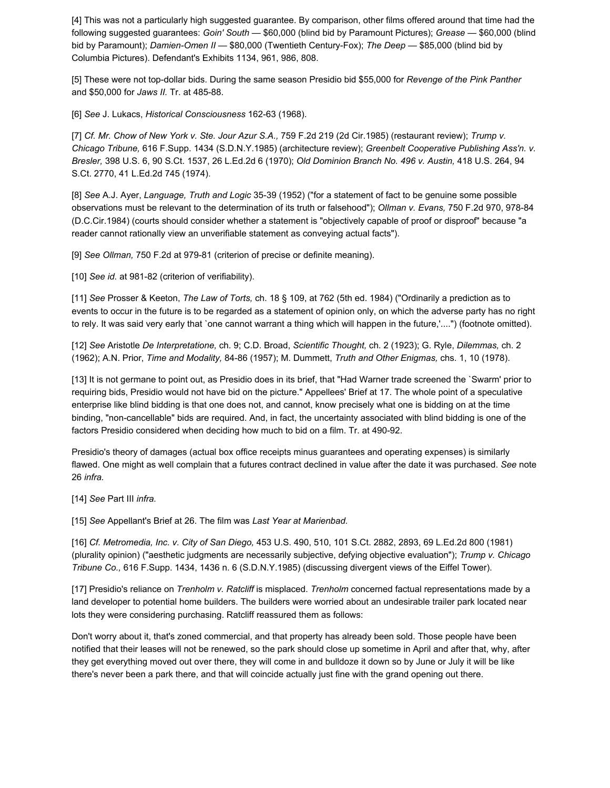[4] This was not a particularly high suggested guarantee. By comparison, other films offered around that time had the following suggested guarantees: *Goin' South* — \$60,000 (blind bid by Paramount Pictures); *Grease* — \$60,000 (blind bid by Paramount); *Damien-Omen II* — \$80,000 (Twentieth Century-Fox); *The Deep* — \$85,000 (blind bid by Columbia Pictures). Defendant's Exhibits 1134, 961, 986, 808.

[5] These were not top-dollar bids. During the same season Presidio bid \$55,000 for *Revenge of the Pink Panther* and \$50,000 for *Jaws II.* Tr. at 485-88.

[6] *See* J. Lukacs, *Historical Consciousness* 162-63 (1968).

[7] *Cf. Mr. Chow of New York v. Ste. Jour Azur S.A.,* 759 F.2d 219 (2d Cir.1985) (restaurant review); *Trump v. Chicago Tribune,* 616 F.Supp. 1434 (S.D.N.Y.1985) (architecture review); *Greenbelt Cooperative Publishing Ass'n. v. Bresler,* 398 U.S. 6, 90 S.Ct. 1537, 26 L.Ed.2d 6 (1970); *Old Dominion Branch No. 496 v. Austin,* 418 U.S. 264, 94 S.Ct. 2770, 41 L.Ed.2d 745 (1974).

[8] *See* A.J. Ayer, *Language, Truth and Logic* 35-39 (1952) ("for a statement of fact to be genuine some possible observations must be relevant to the determination of its truth or falsehood"); *Ollman v. Evans,* 750 F.2d 970, 978-84 (D.C.Cir.1984) (courts should consider whether a statement is "objectively capable of proof or disproof" because "a reader cannot rationally view an unverifiable statement as conveying actual facts").

[9] *See Ollman,* 750 F.2d at 979-81 (criterion of precise or definite meaning).

[10] *See id.* at 981-82 (criterion of verifiability).

[11] *See* Prosser & Keeton, *The Law of Torts,* ch. 18 § 109, at 762 (5th ed. 1984) ("Ordinarily a prediction as to events to occur in the future is to be regarded as a statement of opinion only, on which the adverse party has no right to rely. It was said very early that `one cannot warrant a thing which will happen in the future,'....") (footnote omitted).

[12] *See* Aristotle *De Interpretatione,* ch. 9; C.D. Broad, *Scientific Thought,* ch. 2 (1923); G. Ryle, *Dilemmas,* ch. 2 (1962); A.N. Prior, *Time and Modality,* 84-86 (1957); M. Dummett, *Truth and Other Enigmas,* chs. 1, 10 (1978).

[13] It is not germane to point out, as Presidio does in its brief, that "Had Warner trade screened the `Swarm' prior to requiring bids, Presidio would not have bid on the picture." Appellees' Brief at 17. The whole point of a speculative enterprise like blind bidding is that one does not, and cannot, know precisely what one is bidding on at the time binding, "non-cancellable" bids are required. And, in fact, the uncertainty associated with blind bidding is one of the factors Presidio considered when deciding how much to bid on a film. Tr. at 490-92.

Presidio's theory of damages (actual box office receipts minus guarantees and operating expenses) is similarly flawed. One might as well complain that a futures contract declined in value after the date it was purchased. *See* note 26 *infra.*

[14] *See* Part III *infra.*

[15] *See* Appellant's Brief at 26. The film was *Last Year at Marienbad.*

[16] *Cf. Metromedia, Inc. v. City of San Diego,* 453 U.S. 490, 510, 101 S.Ct. 2882, 2893, 69 L.Ed.2d 800 (1981) (plurality opinion) ("aesthetic judgments are necessarily subjective, defying objective evaluation"); *Trump v. Chicago Tribune Co.,* 616 F.Supp. 1434, 1436 n. 6 (S.D.N.Y.1985) (discussing divergent views of the Eiffel Tower).

[17] Presidio's reliance on *Trenholm v. Ratcliff* is misplaced. *Trenholm* concerned factual representations made by a land developer to potential home builders. The builders were worried about an undesirable trailer park located near lots they were considering purchasing. Ratcliff reassured them as follows:

Don't worry about it, that's zoned commercial, and that property has already been sold. Those people have been notified that their leases will not be renewed, so the park should close up sometime in April and after that, why, after they get everything moved out over there, they will come in and bulldoze it down so by June or July it will be like there's never been a park there, and that will coincide actually just fine with the grand opening out there.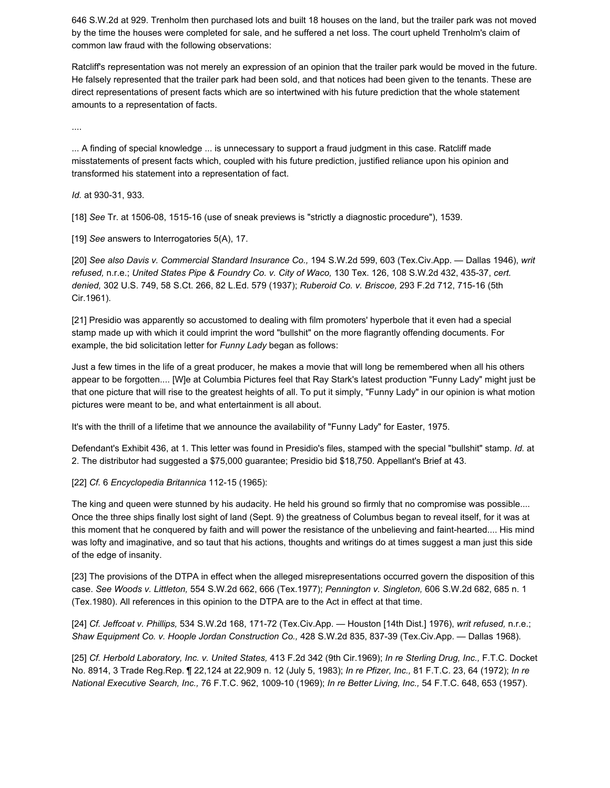646 S.W.2d at 929. Trenholm then purchased lots and built 18 houses on the land, but the trailer park was not moved by the time the houses were completed for sale, and he suffered a net loss. The court upheld Trenholm's claim of common law fraud with the following observations:

Ratcliff's representation was not merely an expression of an opinion that the trailer park would be moved in the future. He falsely represented that the trailer park had been sold, and that notices had been given to the tenants. These are direct representations of present facts which are so intertwined with his future prediction that the whole statement amounts to a representation of facts.

....

... A finding of special knowledge ... is unnecessary to support a fraud judgment in this case. Ratcliff made misstatements of present facts which, coupled with his future prediction, justified reliance upon his opinion and transformed his statement into a representation of fact.

*Id.* at 930-31, 933.

[18] *See* Tr. at 1506-08, 1515-16 (use of sneak previews is "strictly a diagnostic procedure"), 1539.

[19] *See* answers to Interrogatories 5(A), 17.

[20] *See also Davis v. Commercial Standard Insurance Co.,* 194 S.W.2d 599, 603 (Tex.Civ.App. — Dallas 1946), *writ refused,* n.r.e.; *United States Pipe & Foundry Co. v. City of Waco,* 130 Tex. 126, 108 S.W.2d 432, 435-37, *cert. denied,* 302 U.S. 749, 58 S.Ct. 266, 82 L.Ed. 579 (1937); *Ruberoid Co. v. Briscoe,* 293 F.2d 712, 715-16 (5th Cir.1961).

[21] Presidio was apparently so accustomed to dealing with film promoters' hyperbole that it even had a special stamp made up with which it could imprint the word "bullshit" on the more flagrantly offending documents. For example, the bid solicitation letter for *Funny Lady* began as follows:

Just a few times in the life of a great producer, he makes a movie that will long be remembered when all his others appear to be forgotten.... [W]e at Columbia Pictures feel that Ray Stark's latest production "Funny Lady" might just be that one picture that will rise to the greatest heights of all. To put it simply, "Funny Lady" in our opinion is what motion pictures were meant to be, and what entertainment is all about.

It's with the thrill of a lifetime that we announce the availability of "Funny Lady" for Easter, 1975.

Defendant's Exhibit 436, at 1. This letter was found in Presidio's files, stamped with the special "bullshit" stamp. *Id.* at 2. The distributor had suggested a \$75,000 guarantee; Presidio bid \$18,750. Appellant's Brief at 43.

[22] *Cf.* 6 *Encyclopedia Britannica* 112-15 (1965):

The king and queen were stunned by his audacity. He held his ground so firmly that no compromise was possible.... Once the three ships finally lost sight of land (Sept. 9) the greatness of Columbus began to reveal itself, for it was at this moment that he conquered by faith and will power the resistance of the unbelieving and faint-hearted.... His mind was lofty and imaginative, and so taut that his actions, thoughts and writings do at times suggest a man just this side of the edge of insanity.

[23] The provisions of the DTPA in effect when the alleged misrepresentations occurred govern the disposition of this case. *See Woods v. Littleton,* 554 S.W.2d 662, 666 (Tex.1977); *Pennington v. Singleton,* 606 S.W.2d 682, 685 n. 1 (Tex.1980). All references in this opinion to the DTPA are to the Act in effect at that time.

[24] *Cf. Jeffcoat v. Phillips,* 534 S.W.2d 168, 171-72 (Tex.Civ.App. — Houston [14th Dist.] 1976), *writ refused,* n.r.e.; *Shaw Equipment Co. v. Hoople Jordan Construction Co.,* 428 S.W.2d 835, 837-39 (Tex.Civ.App. — Dallas 1968).

[25] *Cf. Herbold Laboratory, Inc. v. United States,* 413 F.2d 342 (9th Cir.1969); *In re Sterling Drug, Inc.,* F.T.C. Docket No. 8914, 3 Trade Reg.Rep. ¶ 22,124 at 22,909 n. 12 (July 5, 1983); *In re Pfizer, Inc.,* 81 F.T.C. 23, 64 (1972); *In re National Executive Search, Inc.,* 76 F.T.C. 962, 1009-10 (1969); *In re Better Living, Inc.,* 54 F.T.C. 648, 653 (1957).